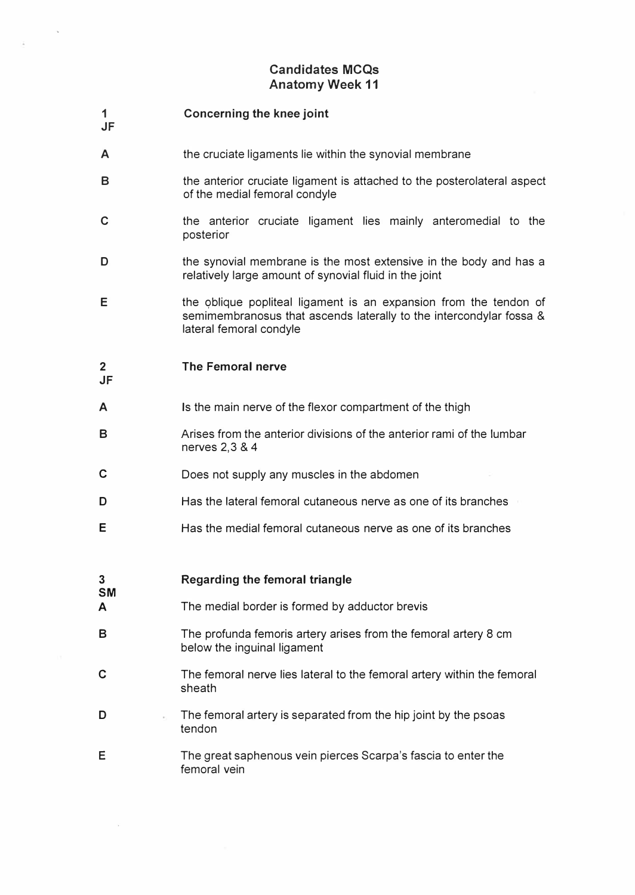## Candidates MCQs Anatomy Week 11

## JF Concerning the knee joint

1

JF

**SM** 

- A the cruciate ligaments lie within the synovial membrane
- B the anterior cruciate ligament is attached to the posterolateral aspect of the medial femoral condyle
- c the anterior cruciate ligament lies mainly anteromedial to the posterior
- D the synovial membrane is the most extensive in the body and has a relatively large amount of synovial fluid in the joint
- E the oblique popliteal ligament is an expansion from the tendon of semimembranosus that ascends laterally to the intercondylar fossa & lateral femoral condyle

## 2 The Femoral nerve

- A Is the main nerve of the flexor compartment of the thigh
- B Arises from the anterior divisions of the anterior rami of the lumbar nerves 2, 3 & 4
- C Does not supply any muscles in the abdomen
- D Has the lateral femoral cutaneous nerve as one of its branches
- E Has the medial femoral cutaneous nerve as one of its branches

3

## Regarding the femoral triangle

- A The medial border is formed by adductor brevis
- B The profunda femoris artery arises from the femoral artery 8 cm below the inguinal ligament
- C The femoral nerve lies lateral to the femoral artery within the femoral sheath
- D The femoral artery is separated from the hip joint by the psoas tendon
- E The great saphenous vein pierces Scarpa's fascia to enter the femoral vein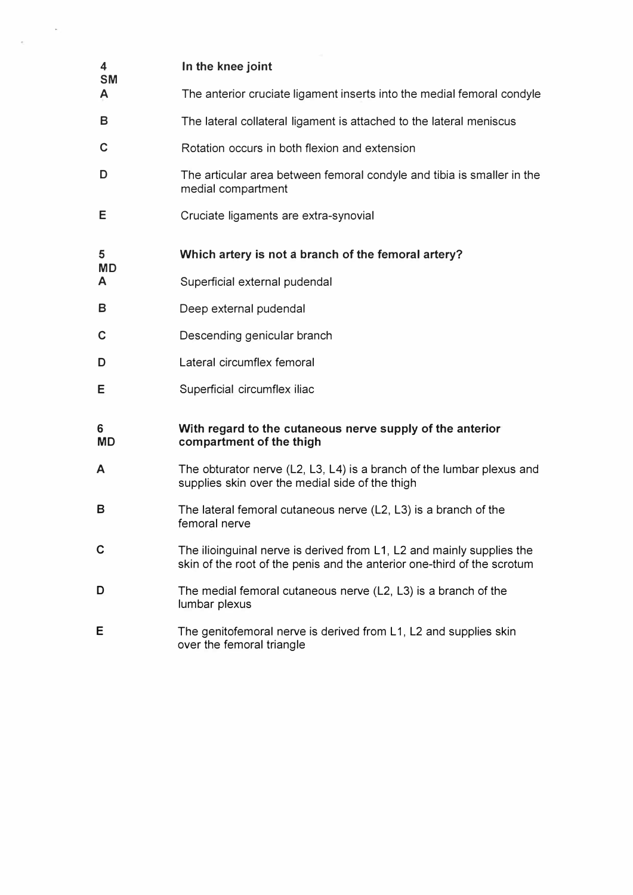| 4<br><b>SM</b><br>A | In the knee joint                                                                                                                                |
|---------------------|--------------------------------------------------------------------------------------------------------------------------------------------------|
|                     | The anterior cruciate ligament inserts into the medial femoral condyle                                                                           |
| В                   | The lateral collateral ligament is attached to the lateral meniscus                                                                              |
| C                   | Rotation occurs in both flexion and extension                                                                                                    |
| D                   | The articular area between femoral condyle and tibia is smaller in the<br>medial compartment                                                     |
| Е                   | Cruciate ligaments are extra-synovial                                                                                                            |
| 5<br><b>MD</b><br>A | Which artery is not a branch of the femoral artery?                                                                                              |
|                     | Superficial external pudendal                                                                                                                    |
| В                   | Deep external pudendal                                                                                                                           |
| C                   | Descending genicular branch                                                                                                                      |
| D                   | Lateral circumflex femoral                                                                                                                       |
| E                   | Superficial circumflex iliac                                                                                                                     |
| 6<br><b>MD</b>      | With regard to the cutaneous nerve supply of the anterior<br>compartment of the thigh                                                            |
| A                   | The obturator nerve (L2, L3, L4) is a branch of the lumbar plexus and<br>supplies skin over the medial side of the thigh                         |
| в                   | The lateral femoral cutaneous nerve (L2, L3) is a branch of the<br>femoral nerve                                                                 |
| C                   | The ilioinguinal nerve is derived from L1, L2 and mainly supplies the<br>skin of the root of the penis and the anterior one-third of the scrotum |
| D                   | The medial femoral cutaneous nerve (L2, L3) is a branch of the<br>lumbar plexus                                                                  |
| E                   | The genitofemoral nerve is derived from L1, L2 and supplies skin<br>over the femoral triangle                                                    |

 $\mathcal{O}(\mathbb{R}^d)$